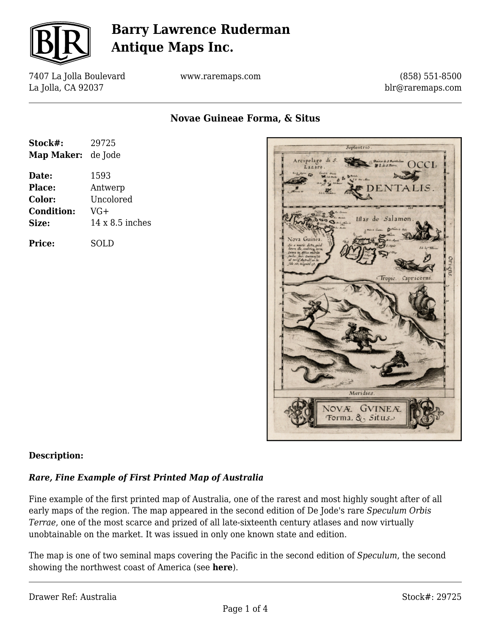

7407 La Jolla Boulevard La Jolla, CA 92037

www.raremaps.com

(858) 551-8500 blr@raremaps.com

**Novae Guineae Forma, & Situs**

| Stock#:           | 29725                  |
|-------------------|------------------------|
| <b>Map Maker:</b> | de Jode                |
| Date:             | 1593                   |
| <b>Place:</b>     | Antwerp                |
| Color:            | Uncolored              |
| <b>Condition:</b> | VG+                    |
| Size:             | $14 \times 8.5$ inches |
| <b>Price:</b>     | SOLD                   |



### **Description:**

### *Rare, Fine Example of First Printed Map of Australia*

Fine example of the first printed map of Australia, one of the rarest and most highly sought after of all early maps of the region. The map appeared in the second edition of De Jode's rare *Speculum Orbis Terrae*, one of the most scarce and prized of all late-sixteenth century atlases and now virtually unobtainable on the market. It was issued in only one known state and edition.

The map is one of two seminal maps covering the Pacific in the second edition of *Speculum*, the second showing the northwest coast of America (see **here**).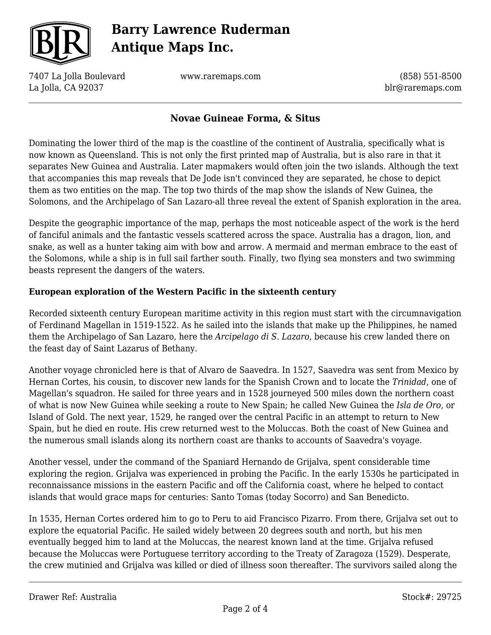

7407 La Jolla Boulevard La Jolla, CA 92037

www.raremaps.com

(858) 551-8500 blr@raremaps.com

### **Novae Guineae Forma, & Situs**

Dominating the lower third of the map is the coastline of the continent of Australia, specifically what is now known as Queensland. This is not only the first printed map of Australia, but is also rare in that it separates New Guinea and Australia. Later mapmakers would often join the two islands. Although the text that accompanies this map reveals that De Jode isn't convinced they are separated, he chose to depict them as two entities on the map. The top two thirds of the map show the islands of New Guinea, the Solomons, and the Archipelago of San Lazaro-all three reveal the extent of Spanish exploration in the area.

Despite the geographic importance of the map, perhaps the most noticeable aspect of the work is the herd of fanciful animals and the fantastic vessels scattered across the space. Australia has a dragon, lion, and snake, as well as a hunter taking aim with bow and arrow. A mermaid and merman embrace to the east of the Solomons, while a ship is in full sail farther south. Finally, two flying sea monsters and two swimming beasts represent the dangers of the waters.

### **European exploration of the Western Pacific in the sixteenth century**

Recorded sixteenth century European maritime activity in this region must start with the circumnavigation of Ferdinand Magellan in 1519-1522. As he sailed into the islands that make up the Philippines, he named them the Archipelago of San Lazaro, here the *Arcipelago di S. Lazaro*, because his crew landed there on the feast day of Saint Lazarus of Bethany.

Another voyage chronicled here is that of Alvaro de Saavedra. In 1527, Saavedra was sent from Mexico by Hernan Cortes, his cousin, to discover new lands for the Spanish Crown and to locate the *Trinidad*, one of Magellan's squadron. He sailed for three years and in 1528 journeyed 500 miles down the northern coast of what is now New Guinea while seeking a route to New Spain; he called New Guinea the *Isla de Oro*, or Island of Gold. The next year, 1529, he ranged over the central Pacific in an attempt to return to New Spain, but he died en route. His crew returned west to the Moluccas. Both the coast of New Guinea and the numerous small islands along its northern coast are thanks to accounts of Saavedra's voyage.

Another vessel, under the command of the Spaniard Hernando de Grijalva, spent considerable time exploring the region. Grijalva was experienced in probing the Pacific. In the early 1530s he participated in reconnaissance missions in the eastern Pacific and off the California coast, where he helped to contact islands that would grace maps for centuries: Santo Tomas (today Socorro) and San Benedicto.

In 1535, Hernan Cortes ordered him to go to Peru to aid Francisco Pizarro. From there, Grijalva set out to explore the equatorial Pacific. He sailed widely between 20 degrees south and north, but his men eventually begged him to land at the Moluccas, the nearest known land at the time. Grijalva refused because the Moluccas were Portuguese territory according to the Treaty of Zaragoza (1529). Desperate, the crew mutinied and Grijalva was killed or died of illness soon thereafter. The survivors sailed along the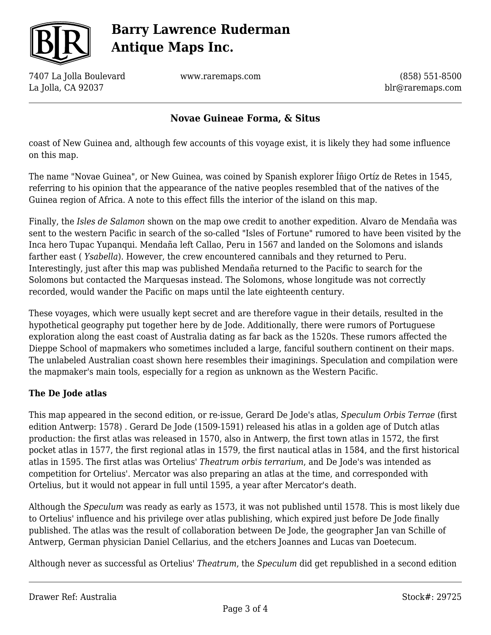

7407 La Jolla Boulevard La Jolla, CA 92037

www.raremaps.com

(858) 551-8500 blr@raremaps.com

### **Novae Guineae Forma, & Situs**

coast of New Guinea and, although few accounts of this voyage exist, it is likely they had some influence on this map.

The name "Novae Guinea", or New Guinea, was coined by Spanish explorer Íñigo Ortíz de Retes in 1545, referring to his opinion that the appearance of the native peoples resembled that of the natives of the Guinea region of Africa. A note to this effect fills the interior of the island on this map.

Finally, the *Isles de Salamon* shown on the map owe credit to another expedition. Alvaro de Mendaña was sent to the western Pacific in search of the so-called "Isles of Fortune" rumored to have been visited by the Inca hero Tupac Yupanqui. Mendaña left Callao, Peru in 1567 and landed on the Solomons and islands farther east ( *Ysabella*). However, the crew encountered cannibals and they returned to Peru. Interestingly, just after this map was published Mendaña returned to the Pacific to search for the Solomons but contacted the Marquesas instead. The Solomons, whose longitude was not correctly recorded, would wander the Pacific on maps until the late eighteenth century.

These voyages, which were usually kept secret and are therefore vague in their details, resulted in the hypothetical geography put together here by de Jode. Additionally, there were rumors of Portuguese exploration along the east coast of Australia dating as far back as the 1520s. These rumors affected the Dieppe School of mapmakers who sometimes included a large, fanciful southern continent on their maps. The unlabeled Australian coast shown here resembles their imaginings. Speculation and compilation were the mapmaker's main tools, especially for a region as unknown as the Western Pacific.

### **The De Jode atlas**

This map appeared in the second edition, or re-issue, Gerard De Jode's atlas, *Speculum Orbis Terrae* (first edition Antwerp: 1578) *.* Gerard De Jode (1509-1591) released his atlas in a golden age of Dutch atlas production: the first atlas was released in 1570, also in Antwerp, the first town atlas in 1572, the first pocket atlas in 1577, the first regional atlas in 1579, the first nautical atlas in 1584, and the first historical atlas in 1595. The first atlas was Ortelius' *Theatrum orbis terrarium*, and De Jode's was intended as competition for Ortelius'. Mercator was also preparing an atlas at the time, and corresponded with Ortelius, but it would not appear in full until 1595, a year after Mercator's death.

Although the *Speculum* was ready as early as 1573, it was not published until 1578. This is most likely due to Ortelius' influence and his privilege over atlas publishing, which expired just before De Jode finally published. The atlas was the result of collaboration between De Jode, the geographer Jan van Schille of Antwerp, German physician Daniel Cellarius, and the etchers Joannes and Lucas van Doetecum.

Although never as successful as Ortelius' *Theatrum*, the *Speculum* did get republished in a second edition